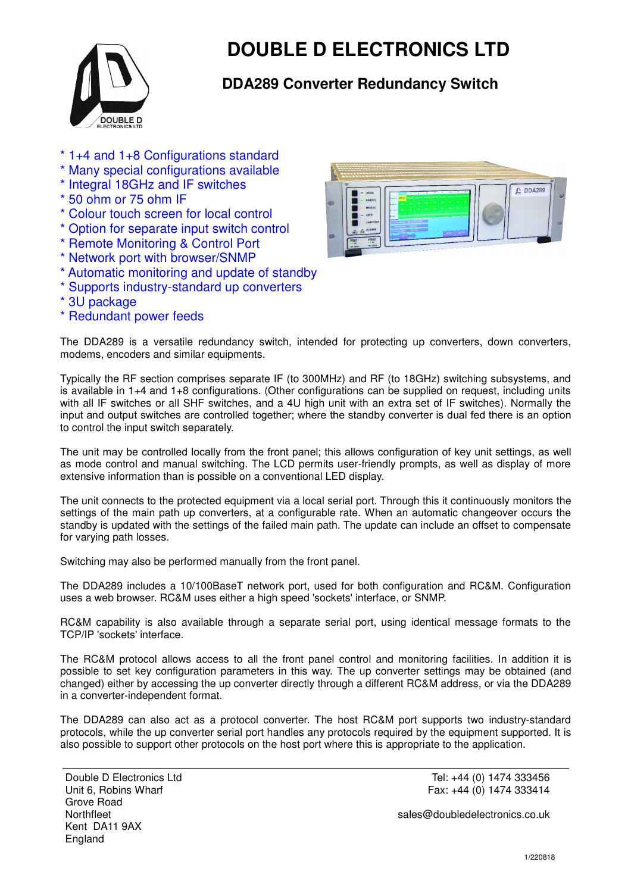

## **DOUBLE D ELECTRONICS LTD**

## **DDA289 Converter Redundancy Switch**

- \* 1+4 and 1+8 Configurations standard
- \* Many special configurations available
- \* Integral 18GHz and IF switches
- \* 50 ohm or 75 ohm IF
- \* Colour touch screen for local control
- \* Option for separate input switch control
- \* Remote Monitoring & Control Port
- \* Network port with browser/SNMP
- \* Automatic monitoring and update of standby
- \* Supports industry-standard up converters
- \* 3U package
- \* Redundant power feeds



The DDA289 is a versatile redundancy switch, intended for protecting up converters, down converters, modems, encoders and similar equipments.

Typically the RF section comprises separate IF (to 300MHz) and RF (to 18GHz) switching subsystems, and is available in 1+4 and 1+8 configurations. (Other configurations can be supplied on request, including units with all IF switches or all SHF switches, and a 4U high unit with an extra set of IF switches). Normally the input and output switches are controlled together; where the standby converter is dual fed there is an option to control the input switch separately.

The unit may be controlled locally from the front panel; this allows configuration of key unit settings, as well as mode control and manual switching. The LCD permits user-friendly prompts, as well as display of more extensive information than is possible on a conventional LED display.

The unit connects to the protected equipment via a local serial port. Through this it continuously monitors the settings of the main path up converters, at a configurable rate. When an automatic changeover occurs the standby is updated with the settings of the failed main path. The update can include an offset to compensate for varying path losses.

Switching may also be performed manually from the front panel.

The DDA289 includes a 10/100BaseT network port, used for both configuration and RC&M. Configuration uses a web browser. RC&M uses either a high speed 'sockets' interface, or SNMP.

RC&M capability is also available through a separate serial port, using identical message formats to the TCP/IP 'sockets' interface.

The RC&M protocol allows access to all the front panel control and monitoring facilities. In addition it is possible to set key configuration parameters in this way. The up converter settings may be obtained (and changed) either by accessing the up converter directly through a different RC&M address, or via the DDA289 in a converter-independent format.

The DDA289 can also act as a protocol converter. The host RC&M port supports two industry-standard protocols, while the up converter serial port handles any protocols required by the equipment supported. It is also possible to support other protocols on the host port where this is appropriate to the application.

Tel: +44 (0) 1474 333456 Fax: +44 (0) 1474 333414

sales@doubledelectronics.co.uk